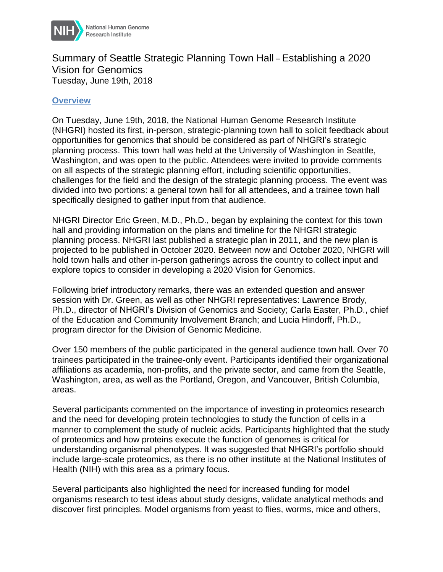

## Summary of Seattle Strategic Planning Town Hall – Establishing a 2020 Vision for Genomics Tuesday, June 19th, 2018

## **Overview**

On Tuesday, June 19th, 2018, the National Human Genome Research Institute (NHGRI) hosted its first, in-person, strategic-planning town hall to solicit feedback about opportunities for genomics that should be considered as part of NHGRI's strategic planning process. This town hall was held at the University of Washington in Seattle, Washington, and was open to the public. Attendees were invited to provide comments on all aspects of the strategic planning effort, including scientific opportunities, challenges for the field and the design of the strategic planning process. The event was divided into two portions: a general town hall for all attendees, and a trainee town hall specifically designed to gather input from that audience.

NHGRI Director Eric Green, M.D., Ph.D., began by explaining the context for this town hall and providing information on the plans and timeline for the NHGRI strategic planning process. NHGRI last published a strategic plan in 2011, and the new plan is projected to be published in October 2020. Between now and October 2020, NHGRI will hold town halls and other in-person gatherings across the country to collect input and explore topics to consider in developing a 2020 Vision for Genomics.

Following brief introductory remarks, there was an extended question and answer session with Dr. Green, as well as other NHGRI representatives: Lawrence Brody, Ph.D., director of NHGRI's Division of Genomics and Society; Carla Easter, Ph.D., chief of the Education and Community Involvement Branch; and Lucia Hindorff, Ph.D., program director for the Division of Genomic Medicine.

Over 150 members of the public participated in the general audience town hall. Over 70 trainees participated in the trainee-only event. Participants identified their organizational affiliations as academia, non-profits, and the private sector, and came from the Seattle, Washington, area, as well as the Portland, Oregon, and Vancouver, British Columbia, areas.

Several participants commented on the importance of investing in proteomics research and the need for developing protein technologies to study the function of cells in a manner to complement the study of nucleic acids. Participants highlighted that the study of proteomics and how proteins execute the function of genomes is critical for understanding organismal phenotypes. It was suggested that NHGRI's portfolio should include large-scale proteomics, as there is no other institute at the National Institutes of Health (NIH) with this area as a primary focus.

Several participants also highlighted the need for increased funding for model organisms research to test ideas about study designs, validate analytical methods and discover first principles. Model organisms from yeast to flies, worms, mice and others,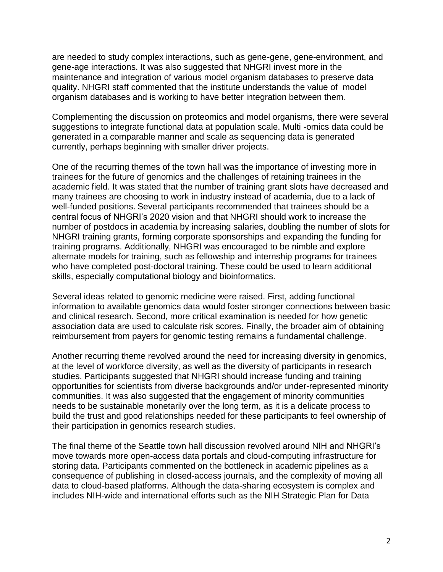are needed to study complex interactions, such as gene-gene, gene-environment, and gene-age interactions. It was also suggested that NHGRI invest more in the maintenance and integration of various model organism databases to preserve data quality. NHGRI staff commented that the institute understands the value of model organism databases and is working to have better integration between them.

Complementing the discussion on proteomics and model organisms, there were several suggestions to integrate functional data at population scale. Multi -omics data could be generated in a comparable manner and scale as sequencing data is generated currently, perhaps beginning with smaller driver projects.

One of the recurring themes of the town hall was the importance of investing more in trainees for the future of genomics and the challenges of retaining trainees in the academic field. It was stated that the number of training grant slots have decreased and many trainees are choosing to work in industry instead of academia, due to a lack of well-funded positions. Several participants recommended that trainees should be a central focus of NHGRI's 2020 vision and that NHGRI should work to increase the number of postdocs in academia by increasing salaries, doubling the number of slots for NHGRI training grants, forming corporate sponsorships and expanding the funding for training programs. Additionally, NHGRI was encouraged to be nimble and explore alternate models for training, such as fellowship and internship programs for trainees who have completed post-doctoral training. These could be used to learn additional skills, especially computational biology and bioinformatics.

Several ideas related to genomic medicine were raised. First, adding functional information to available genomics data would foster stronger connections between basic and clinical research. Second, more critical examination is needed for how genetic association data are used to calculate risk scores. Finally, the broader aim of obtaining reimbursement from payers for genomic testing remains a fundamental challenge.

Another recurring theme revolved around the need for increasing diversity in genomics, at the level of workforce diversity, as well as the diversity of participants in research studies. Participants suggested that NHGRI should increase funding and training opportunities for scientists from diverse backgrounds and/or under-represented minority communities. It was also suggested that the engagement of minority communities needs to be sustainable monetarily over the long term, as it is a delicate process to build the trust and good relationships needed for these participants to feel ownership of their participation in genomics research studies.

The final theme of the Seattle town hall discussion revolved around NIH and NHGRI's move towards more open-access data portals and cloud-computing infrastructure for storing data. Participants commented on the bottleneck in academic pipelines as a consequence of publishing in closed-access journals, and the complexity of moving all data to cloud-based platforms. Although the data-sharing ecosystem is complex and includes NIH-wide and international efforts such as the NIH Strategic Plan for Data